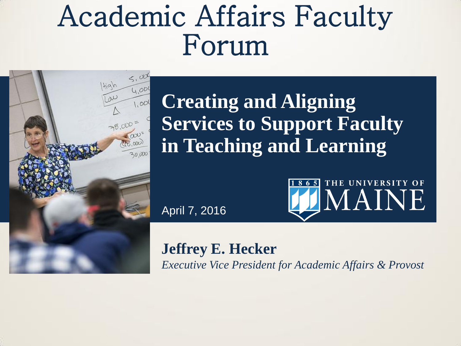# Academic Affairs Faculty Forum



**Creating and Aligning Services to Support Faculty in Teaching and Learning**

April 7, 2016



**Jeffrey E. Hecker** *Executive Vice President for Academic Affairs & Provost*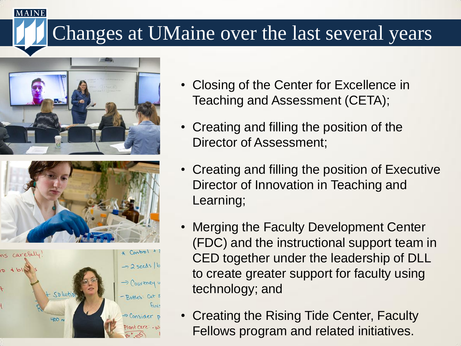### Changes at UMaine over the last several years







- Closing of the Center for Excellence in Teaching and Assessment (CETA);
- Creating and filling the position of the Director of Assessment;
- Creating and filling the position of Executive Director of Innovation in Teaching and Learning;
- Merging the Faculty Development Center (FDC) and the instructional support team in CED together under the leadership of DLL to create greater support for faculty using technology; and
- Creating the Rising Tide Center, Faculty Fellows program and related initiatives.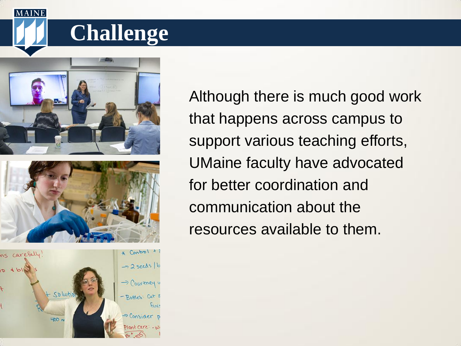## **Challenge**



**MAINE** 





Although there is much good work that happens across campus to support various teaching efforts, UMaine faculty have advocated for better coordination and communication about the resources available to them.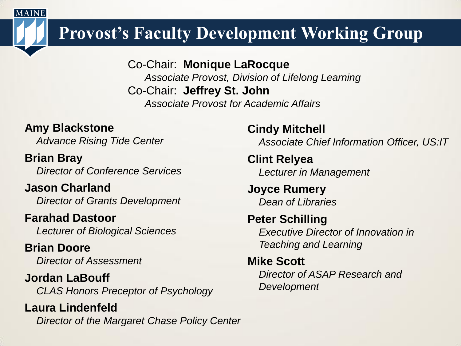### **Provost's Faculty Development Working Group**

Co-Chair: **Monique LaRocque** *Associate Provost, Division of Lifelong Learning* Co-Chair: **Jeffrey St. John** *Associate Provost for Academic Affairs* 

#### **Amy Blackstone**

**MAINE** 

*Advance Rising Tide Center*

**Brian Bray** *Director of Conference Services*

**Jason Charland** *Director of Grants Development*

#### **Farahad Dastoor**

*Lecturer of Biological Sciences* 

**Brian Doore** *Director of Assessment* 

**Jordan LaBouff** *CLAS Honors Preceptor of Psychology*

**Laura Lindenfeld** *Director of the Margaret Chase Policy Center*

**Cindy Mitchell** *Associate Chief Information Officer, US:IT*

**Clint Relyea** *Lecturer in Management* 

**Joyce Rumery** *Dean of Libraries* 

#### **Peter Schilling** *Executive Director of Innovation in Teaching and Learning*

#### **Mike Scott**

*Director of ASAP Research and Development*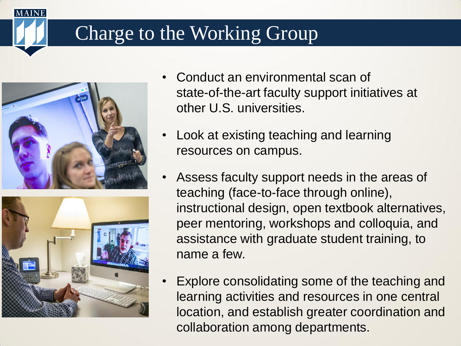### Charge to the Working Group





- Conduct an environmental scan of state-of-the-art faculty support initiatives at other U.S. universities.
- Look at existing teaching and learning resources on campus.
- Assess faculty support needs in the areas of teaching (face-to-face through online), instructional design, open textbook alternatives, peer mentoring, workshops and colloquia, and assistance with graduate student training, to name a few.
- Explore consolidating some of the teaching and learning activities and resources in one central location, and establish greater coordination and collaboration among departments.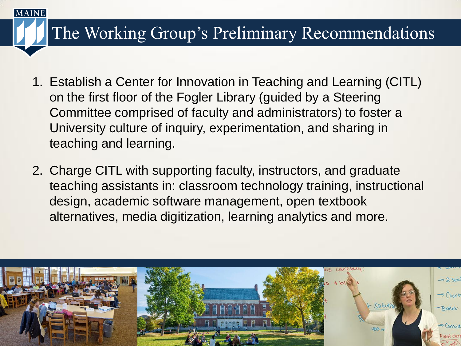### The Working Group's Preliminary Recommendations

- 1. Establish a Center for Innovation in Teaching and Learning (CITL) on the first floor of the Fogler Library (guided by a Steering Committee comprised of faculty and administrators) to foster a University culture of inquiry, experimentation, and sharing in teaching and learning.
- 2. Charge CITL with supporting faculty, instructors, and graduate teaching assistants in: classroom technology training, instructional design, academic software management, open textbook alternatives, media digitization, learning analytics and more.

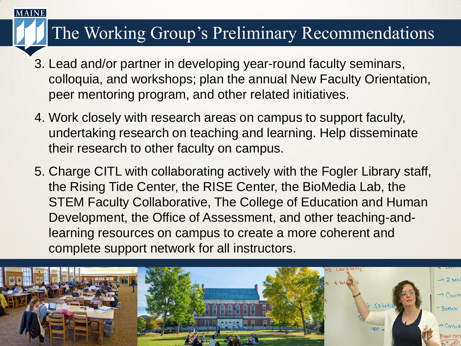#### The Working Group's Preliminary Recommendations

- 3. Lead and/or partner in developing year-round faculty seminars, colloquia, and workshops; plan the annual New Faculty Orientation, peer mentoring program, and other related initiatives.
- 4. Work closely with research areas on campus to support faculty, undertaking research on teaching and learning. Help disseminate their research to other faculty on campus.
- 5. Charge CITL with collaborating actively with the Fogler Library staff, the Rising Tide Center, the RISE Center, the BioMedia Lab, the STEM Faculty Collaborative, The College of Education and Human Development, the Office of Assessment, and other teaching-andlearning resources on campus to create a more coherent and complete support network for all instructors.

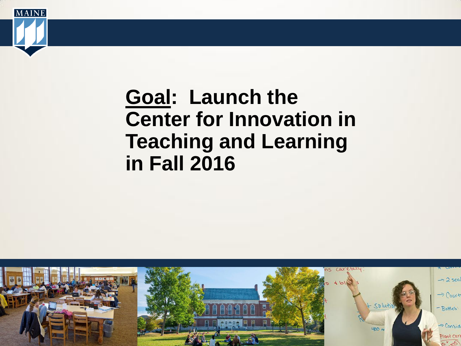

## **Goal: Launch the Center for Innovation in Teaching and Learning in Fall 2016**

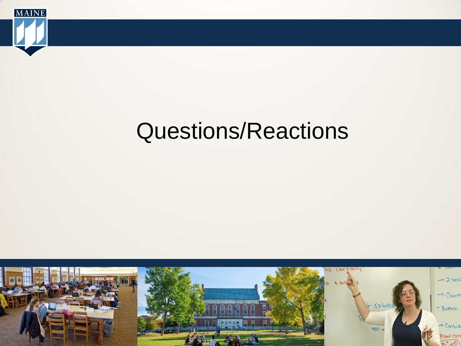

# Questions/Reactions

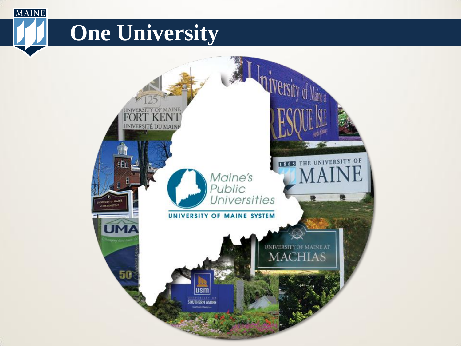# **One University**

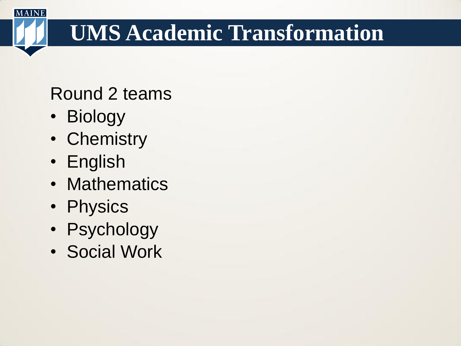# **UMS Academic Transformation**

Round 2 teams

• Biology

- Chemistry
- English
- Mathematics
- Physics
- Psychology
- Social Work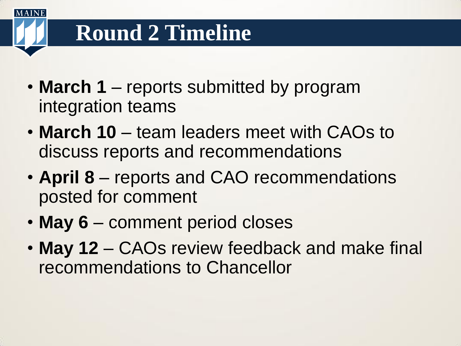# **Round 2 Timeline**

 $M$  A IN E

- **March 1** reports submitted by program integration teams
- **March 10**  team leaders meet with CAOs to discuss reports and recommendations
- **April 8** reports and CAO recommendations posted for comment
- May 6 comment period closes
- **May 12**  CAOs review feedback and make final recommendations to Chancellor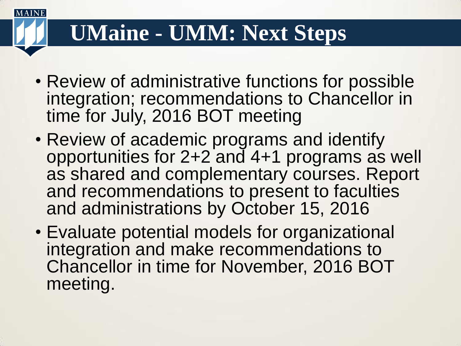## **UMaine - UMM: Next Steps**

- Review of administrative functions for possible integration; recommendations to Chancellor in time for July, 2016 BOT meeting
- Review of academic programs and identify opportunities for 2+2 and 4+1 programs as well as shared and complementary courses. Report and recommendations to present to faculties and administrations by October 15, 2016
- Evaluate potential models for organizational integration and make recommendations to Chancellor in time for November, 2016 BOT meeting.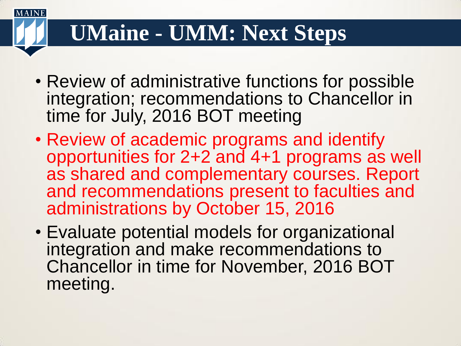## **UMaine - UMM: Next Steps**

- Review of administrative functions for possible integration; recommendations to Chancellor in time for July, 2016 BOT meeting
- Review of academic programs and identify opportunities for 2+2 and 4+1 programs as well as shared and complementary courses. Report and recommendations present to faculties and administrations by October 15, 2016
- Evaluate potential models for organizational integration and make recommendations to Chancellor in time for November, 2016 BOT meeting.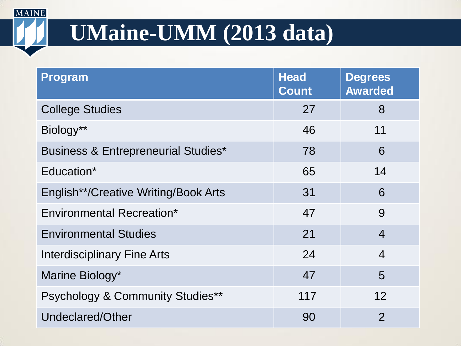# **UMaine-UMM (2013 data)**

| <b>Program</b>                                 | <b>Head</b><br><b>Count</b> | <b>Degrees</b><br><b>Awarded</b> |
|------------------------------------------------|-----------------------------|----------------------------------|
| <b>College Studies</b>                         | 27                          | 8                                |
| Biology**                                      | 46                          | 11                               |
| <b>Business &amp; Entrepreneurial Studies*</b> | 78                          | 6                                |
| Education*                                     | 65                          | 14                               |
| English**/Creative Writing/Book Arts           | 31                          | 6                                |
| <b>Environmental Recreation*</b>               | 47                          | 9                                |
| <b>Environmental Studies</b>                   | 21                          | $\overline{4}$                   |
| <b>Interdisciplinary Fine Arts</b>             | 24                          | $\overline{4}$                   |
| Marine Biology*                                | 47                          | 5                                |
| <b>Psychology &amp; Community Studies**</b>    | 117                         | 12                               |
| Undeclared/Other                               | 90                          | $\overline{2}$                   |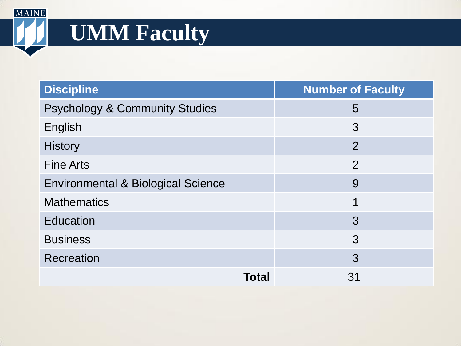# **UMM Faculty**

| <b>Discipline</b>                         | <b>Number of Faculty</b> |  |
|-------------------------------------------|--------------------------|--|
| <b>Psychology &amp; Community Studies</b> | 5                        |  |
| English                                   | 3                        |  |
| <b>History</b>                            | $\overline{2}$           |  |
| <b>Fine Arts</b>                          | $\overline{2}$           |  |
| Environmental & Biological Science        | 9                        |  |
| <b>Mathematics</b>                        | 1                        |  |
| <b>Education</b>                          | 3                        |  |
| <b>Business</b>                           | 3                        |  |
| Recreation                                | 3                        |  |
| Total                                     | 31                       |  |